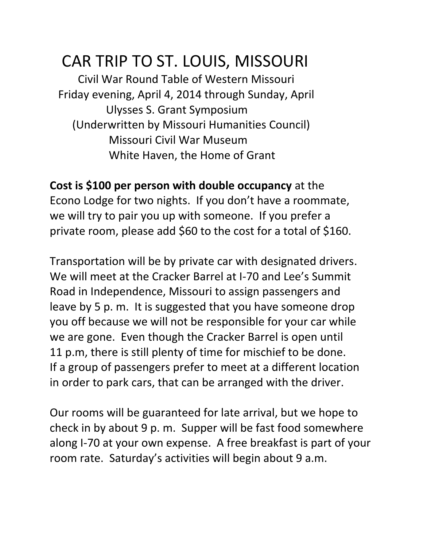# CAR TRIP TO ST. LOUIS, MISSOURI

 Civil War Round Table of Western Missouri Friday evening, April 4, 2014 through Sunday, April Ulysses S. Grant Symposium (Underwritten by Missouri Humanities Council) Missouri Civil War Museum White Haven, the Home of Grant

**Cost is \$100 per person with double occupancy** at the Econo Lodge for two nights. If you don't have a roommate, we will try to pair you up with someone. If you prefer a private room, please add \$60 to the cost for a total of \$160.

Transportation will be by private car with designated drivers. We will meet at the Cracker Barrel at I-70 and Lee's Summit Road in Independence, Missouri to assign passengers and leave by 5 p. m. It is suggested that you have someone drop you off because we will not be responsible for your car while we are gone. Even though the Cracker Barrel is open until 11 p.m, there is still plenty of time for mischief to be done. If a group of passengers prefer to meet at a different location in order to park cars, that can be arranged with the driver.

Our rooms will be guaranteed for late arrival, but we hope to check in by about 9 p. m. Supper will be fast food somewhere along I-70 at your own expense. A free breakfast is part of your room rate. Saturday's activities will begin about 9 a.m.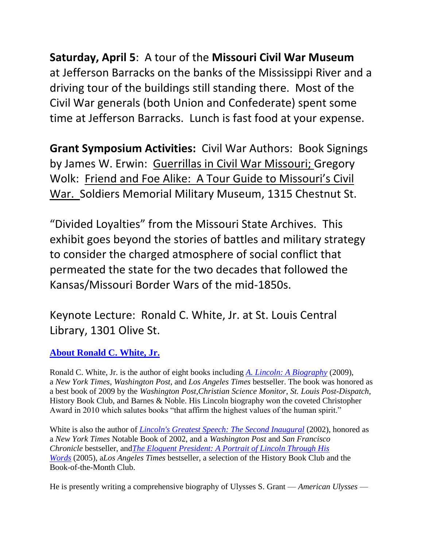**Saturday, April 5**: A tour of the **Missouri Civil War Museum** at Jefferson Barracks on the banks of the Mississippi River and a driving tour of the buildings still standing there. Most of the Civil War generals (both Union and Confederate) spent some time at Jefferson Barracks. Lunch is fast food at your expense.

**Grant Symposium Activities:** Civil War Authors: Book Signings by James W. Erwin: Guerrillas in Civil War Missouri; Gregory Wolk: Friend and Foe Alike: A Tour Guide to Missouri's Civil War. Soldiers Memorial Military Museum, 1315 Chestnut St.

"Divided Loyalties" from the Missouri State Archives. This exhibit goes beyond the stories of battles and military strategy to consider the charged atmosphere of social conflict that permeated the state for the two decades that followed the Kansas/Missouri Border Wars of the mid-1850s.

Keynote Lecture: Ronald C. White, Jr. at St. Louis Central Library, 1301 Olive St.

#### **[About Ronald C. White, Jr.](http://www.ronaldcwhitejr.com/2007/01/about_ronald_c_.html)**

Ronald C. White, Jr. is the author of eight books including *[A. Lincoln: A Biography](http://www.amazon.com/exec/obidos/ASIN/1400064996/lincosgreatsp-20)* (2009), a *New York Times*, *Washington Post*, and *Los Angeles Times* bestseller. The book was honored as a best book of 2009 by the *Washington Post*,*Christian Science Monitor*, *St. Louis Post-Dispatch*, History Book Club, and Barnes & Noble. His Lincoln biography won the coveted Christopher Award in 2010 which salutes books "that affirm the highest values of the human spirit."

White is also the author of *[Lincoln's Greatest Speech: The Second Inaugural](http://www.amazon.com/exec/obidos/ASIN/0743212991/lincosgreatsp-20)* (2002), honored as a *New York Times* Notable Book of 2002, and a *Washington Post* and *San Francisco Chronicle* bestseller, and*[The Eloquent President: A Portrait of Lincoln Through His](http://www.amazon.com/exec/obidos/ASIN/1400061199/lincosgreatsp-20)  [Words](http://www.amazon.com/exec/obidos/ASIN/1400061199/lincosgreatsp-20)* (2005), a*Los Angeles Times* bestseller, a selection of the History Book Club and the Book-of-the-Month Club.

He is presently writing a comprehensive biography of Ulysses S. Grant — *American Ulysses* —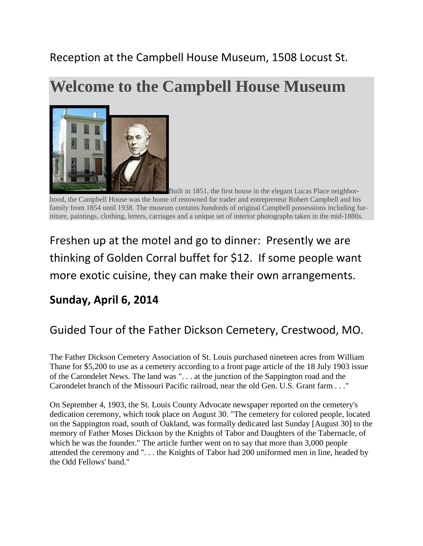### Reception at the Campbell House Museum, 1508 Locust St.

## **Welcome to the Campbell House Museum**



Built in 1851, the first house in the elegant Lucas Place neighborhood, the Campbell House was the home of renowned fur trader and entrepreneur Robert Campbell and his family from 1854 until 1938. The museum contains hundreds of original Campbell possessions including furniture, paintings, clothing, letters, carriages and a unique set of interior photographs taken in the mid-1880s.

Freshen up at the motel and go to dinner: Presently we are thinking of Golden Corral buffet for \$12. If some people want more exotic cuisine, they can make their own arrangements.

### **Sunday, April 6, 2014**

### Guided Tour of the Father Dickson Cemetery, Crestwood, MO.

The Father Dickson Cemetery Association of St. Louis purchased nineteen acres from William Thane for \$5,200 to use as a cemetery according to a front page article of the 18 July 1903 issue of the Carondelet News. The land was ". . . at the junction of the Sappington road and the Carondelet branch of the Missouri Pacific railroad, near the old Gen. U.S. Grant farm . . ."

On September 4, 1903, the St. Louis County Advocate newspaper reported on the cemetery's dedication ceremony, which took place on August 30. "The cemetery for colored people, located on the Sappington road, south of Oakland, was formally dedicated last Sunday [August 30] to the memory of Father Moses Dickson by the Knights of Tabor and Daughters of the Tabernacle, of which he was the founder." The article further went on to say that more than 3,000 people attended the ceremony and ". . . the Knights of Tabor had 200 uniformed men in line, headed by the Odd Fellows' band."